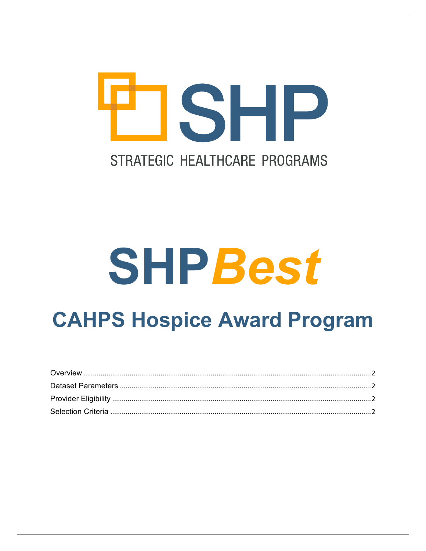## **TISHP** STRATEGIC HEALTHCARE PROGRAMS

# **SHPBest**

### **CAHPS Hospice Award Program**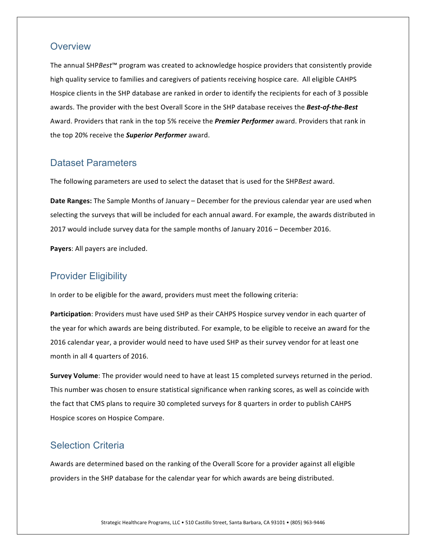#### <span id="page-1-0"></span>**Overview**

The annual SHP*Best*™ program was created to acknowledge hospice providers that consistently provide high quality service to families and caregivers of patients receiving hospice care. All eligible CAHPS Hospice clients in the SHP database are ranked in order to identify the recipients for each of 3 possible awards. The provider with the best Overall Score in the SHP database receives the Best-of-the-Best Award. Providers that rank in the top 5% receive the *Premier Performer* award. Providers that rank in the top 20% receive the **Superior Performer** award.

#### <span id="page-1-1"></span>Dataset Parameters

The following parameters are used to select the dataset that is used for the SHPBest award.

**Date Ranges:** The Sample Months of January – December for the previous calendar year are used when selecting the surveys that will be included for each annual award. For example, the awards distributed in 2017 would include survey data for the sample months of January 2016 – December 2016.

**Payers:** All payers are included.

#### <span id="page-1-2"></span>Provider Eligibility

In order to be eligible for the award, providers must meet the following criteria:

**Participation**: Providers must have used SHP as their CAHPS Hospice survey vendor in each quarter of the year for which awards are being distributed. For example, to be eligible to receive an award for the 2016 calendar year, a provider would need to have used SHP as their survey vendor for at least one month in all 4 quarters of 2016.

**Survey Volume**: The provider would need to have at least 15 completed surveys returned in the period. This number was chosen to ensure statistical significance when ranking scores, as well as coincide with the fact that CMS plans to require 30 completed surveys for 8 quarters in order to publish CAHPS Hospice scores on Hospice Compare.

#### <span id="page-1-3"></span>Selection Criteria

Awards are determined based on the ranking of the Overall Score for a provider against all eligible providers in the SHP database for the calendar year for which awards are being distributed.